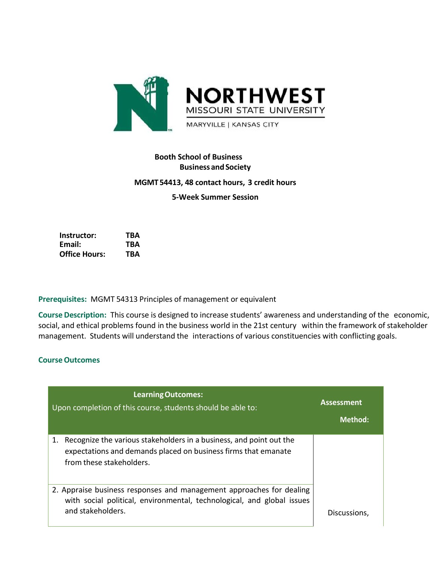

# **Booth School of Business Business andSociety MGMT54413, 48 contact hours, 3 credit hours 5-Week Summer Session**

**Instructor: TBA Email: TBA Office Hours: TBA**

**Prerequisites:** MGMT 54313 Principles of management or equivalent

**Course Description:** This course is designed to increase students' awareness and understanding of the economic, social, and ethical problems found in the business world in the 21st century within the framework of stakeholder management. Students will understand the interactions of various constituencies with conflicting goals.

# **CourseOutcomes**

| <b>Learning Outcomes:</b><br>Upon completion of this course, students should be able to:                                                                                | <b>Assessment</b><br><b>Method:</b> |
|-------------------------------------------------------------------------------------------------------------------------------------------------------------------------|-------------------------------------|
| Recognize the various stakeholders in a business, and point out the<br>1.<br>expectations and demands placed on business firms that emanate<br>from these stakeholders. |                                     |
| 2. Appraise business responses and management approaches for dealing<br>with social political, environmental, technological, and global issues<br>and stakeholders.     | Discussions,                        |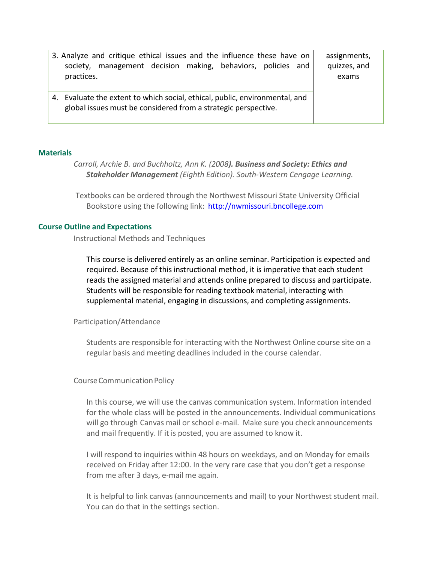| 3. Analyze and critique ethical issues and the influence these have on<br>management decision making, behaviors, policies and<br>society.<br>practices. | assignments,<br>quizzes, and<br>exams |
|---------------------------------------------------------------------------------------------------------------------------------------------------------|---------------------------------------|
| 4. Evaluate the extent to which social, ethical, public, environmental, and<br>global issues must be considered from a strategic perspective.           |                                       |

### **Materials**

*Carroll, Archie B. and Buchholtz, Ann K. (2008). Business and Society: Ethics and Stakeholder Management (Eighth Edition). South-Western Cengage Learning.*

Textbooks can be ordered through the Northwest Missouri State University Official Bookstore using the following link: [http://nwmissouri.bncollege.com](http://nwmissouri.bncollege.com/)

#### **Course Outline and Expectations**

Instructional Methods and Techniques

This course is delivered entirely as an online seminar. Participation is expected and required. Because of this instructional method, it is imperative that each student reads the assigned material and attends online prepared to discuss and participate. Students will be responsible for reading textbook material, interacting with supplemental material, engaging in discussions, and completing assignments.

#### Participation/Attendance

Students are responsible for interacting with the Northwest Online course site on a regular basis and meeting deadlines included in the course calendar.

### CourseCommunicationPolicy

In this course, we will use the canvas communication system. Information intended for the whole class will be posted in the announcements. Individual communications will go through Canvas mail or school e-mail. Make sure you check announcements and mail frequently. If it is posted, you are assumed to know it.

I will respond to inquiries within 48 hours on weekdays, and on Monday for emails received on Friday after 12:00. In the very rare case that you don't get a response from me after 3 days, e-mail me again.

It is helpful to link canvas (announcements and mail) to your Northwest student mail. You can do that in the settings section.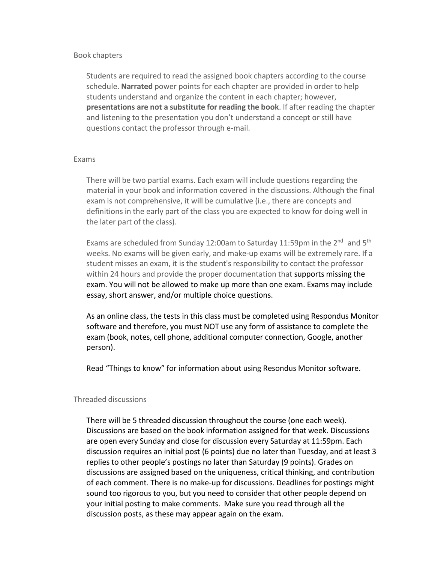## Book chapters

Students are required to read the assigned book chapters according to the course schedule. **Narrated** power points for each chapter are provided in order to help students understand and organize the content in each chapter; however, **presentations are not a substitute for reading the book**. If after reading the chapter and listening to the presentation you don't understand a concept or still have questions contact the professor through e-mail.

## Exams

There will be two partial exams. Each exam will include questions regarding the material in your book and information covered in the discussions. Although the final exam is not comprehensive, it will be cumulative (i.e., there are concepts and definitions in the early part of the class you are expected to know for doing well in the later part of the class).

Exams are scheduled from Sunday 12:00am to Saturday 11:59pm in the 2<sup>nd</sup> and 5<sup>th</sup> weeks. No exams will be given early, and make-up exams will be extremely rare. If a student misses an exam, it is the student's responsibility to contact the professor within 24 hours and provide the proper documentation that supports missing the exam. You will not be allowed to make up more than one exam. Exams may include essay, short answer, and/or multiple choice questions.

As an online class, the tests in this class must be completed using Respondus Monitor software and therefore, you must NOT use any form of assistance to complete the exam (book, notes, cell phone, additional computer connection, Google, another person).

Read "Things to know" for information about using Resondus Monitor software.

# Threaded discussions

There will be 5 threaded discussion throughout the course (one each week). Discussions are based on the book information assigned for that week. Discussions are open every Sunday and close for discussion every Saturday at 11:59pm. Each discussion requires an initial post (6 points) due no later than Tuesday, and at least 3 replies to other people's postings no later than Saturday (9 points). Grades on discussions are assigned based on the uniqueness, critical thinking, and contribution of each comment. There is no make-up for discussions. Deadlines for postings might sound too rigorous to you, but you need to consider that other people depend on your initial posting to make comments. Make sure you read through all the discussion posts, as these may appear again on the exam.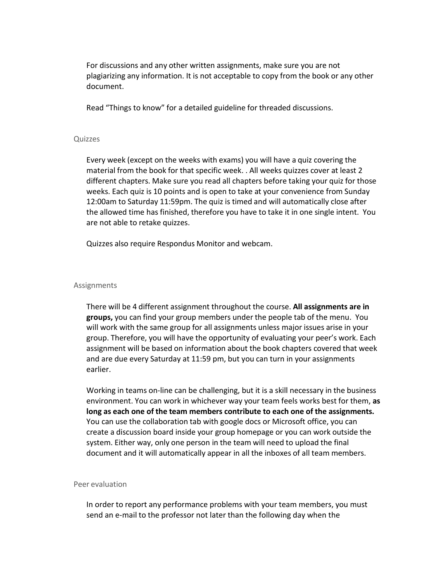For discussions and any other written assignments, make sure you are not plagiarizing any information. It is not acceptable to copy from the book or any other document.

Read "Things to know" for a detailed guideline for threaded discussions.

#### Quizzes

Every week (except on the weeks with exams) you will have a quiz covering the material from the book for that specific week. . All weeks quizzes cover at least 2 different chapters. Make sure you read all chapters before taking your quiz for those weeks. Each quiz is 10 points and is open to take at your convenience from Sunday 12:00am to Saturday 11:59pm. The quiz is timed and will automatically close after the allowed time has finished, therefore you have to take it in one single intent. You are not able to retake quizzes.

Quizzes also require Respondus Monitor and webcam.

### Assignments

There will be 4 different assignment throughout the course. **All assignments are in groups,** you can find your group members under the people tab of the menu. You will work with the same group for all assignments unless major issues arise in your group. Therefore, you will have the opportunity of evaluating your peer's work. Each assignment will be based on information about the book chapters covered that week and are due every Saturday at 11:59 pm, but you can turn in your assignments earlier.

Working in teams on-line can be challenging, but it is a skill necessary in the business environment. You can work in whichever way your team feels works best for them, **as long as each one of the team members contribute to each one of the assignments.** You can use the collaboration tab with google docs or Microsoft office, you can create a discussion board inside your group homepage or you can work outside the system. Either way, only one person in the team will need to upload the final document and it will automatically appear in all the inboxes of all team members.

#### Peer evaluation

In order to report any performance problems with your team members, you must send an e-mail to the professor not later than the following day when the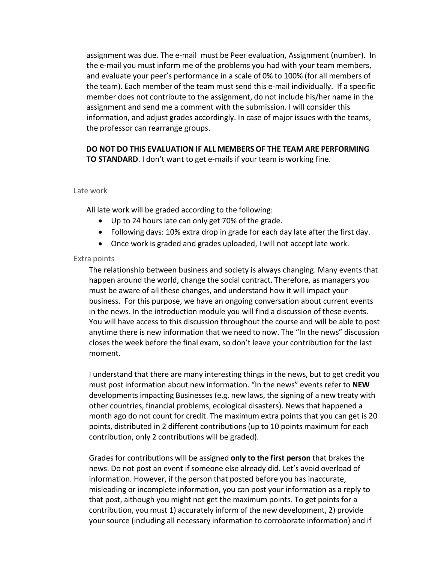assignment was due. The e-mail must be Peer evaluation, Assignment (number). In the e-mail you must inform me of the problems you had with your team members, and evaluate your peer's performance in a scale of 0% to 100% (for all members of the team). Each member of the team must send this e-mail individually. If a specific member does not contribute to the assignment, do not include his/her name in the assignment and send me a comment with the submission. I will consider this information, and adjust grades accordingly. In case of major issues with the teams, the professor can rearrange groups.

# **DO NOT DO THIS EVALUATION IF ALL MEMBERS OF THE TEAM ARE PERFORMING TO STANDARD**. I don't want to get e-mails if your team is working fine.

#### Late work

All late work will be graded according to the following:

- Up to 24 hours late can only get 70% of the grade.
- Following days: 10% extra drop in grade for each day late after the first day.
- Once work is graded and grades uploaded, I will not accept late work.

### Extra points

The relationship between business and society is always changing. Many events that happen around the world, change the social contract. Therefore, as managers you must be aware of all these changes, and understand how it will impact your business. For this purpose, we have an ongoing conversation about current events in the news. In the introduction module you will find a discussion of these events. You will have access to this discussion throughout the course and will be able to post anytime there is new information that we need to now. The "In the news" discussion closes the week before the final exam, so don't leave your contribution for the last moment.

I understand that there are many interesting things in the news, but to get credit you must post information about new information. "In the news" events refer to **NEW** developments impacting Businesses (e.g. new laws, the signing of a new treaty with other countries, financial problems, ecological disasters). Newsthat happened a month ago do not count for credit. The maximum extra points that you can get is 20 points, distributed in 2 different contributions (up to 10 points maximum for each contribution, only 2 contributions will be graded).

Grades for contributions will be assigned **only to the first person** that brakes the news. Do not post an event if someone else already did. Let's avoid overload of information. However, if the person that posted before you has inaccurate, misleading or incomplete information, you can post your information as a reply to that post, although you might not get the maximum points. To get points for a contribution, you must 1) accurately inform of the new development, 2) provide your source (including all necessary information to corroborate information) and if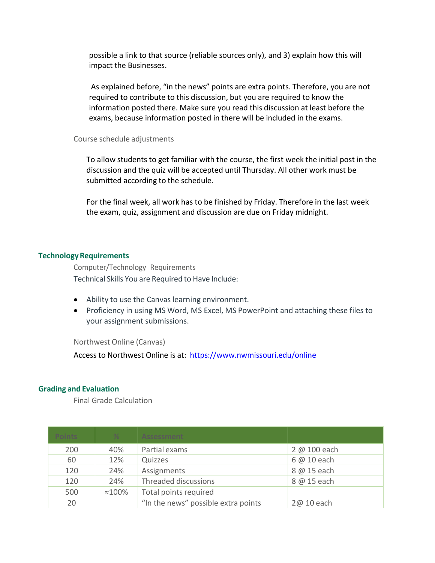possible a link to that source (reliable sources only), and 3) explain how this will impact the Businesses.

As explained before, "in the news" points are extra points. Therefore, you are not required to contribute to this discussion, but you are required to know the information posted there. Make sure you read this discussion at least before the exams, because information posted in there will be included in the exams.

## Course schedule adjustments

To allow students to get familiar with the course, the first week the initial post in the discussion and the quiz will be accepted until Thursday. All other work must be submitted according to the schedule.

For the final week, all work has to be finished by Friday. Therefore in the last week the exam, quiz, assignment and discussion are due on Friday midnight.

# **TechnologyRequirements**

Computer/Technology Requirements Technical Skills You are Required to Have Include:

- Ability to use the Canvas learning environment.
- Proficiency in using MS Word, MS Excel, MS PowerPoint and attaching these files to your assignment submissions.

Northwest Online (Canvas)

Access to Northwest Online is at: <https://www.nwmissouri.edu/online>

# **Grading and Evaluation**

Final Grade Calculation

| <b>Points</b> | $\%$            | Assessment                          |              |
|---------------|-----------------|-------------------------------------|--------------|
| 200           | 40%             | Partial exams                       | 2 @ 100 each |
| 60            | 12%             | Quizzes                             | 6 @ 10 each  |
| 120           | 24%             | Assignments                         | 8 @ 15 each  |
| 120           | 24%             | Threaded discussions                | 8 @ 15 each  |
| 500           | $\approx 100\%$ | Total points required               |              |
| 20            |                 | "In the news" possible extra points | 2@ 10 each   |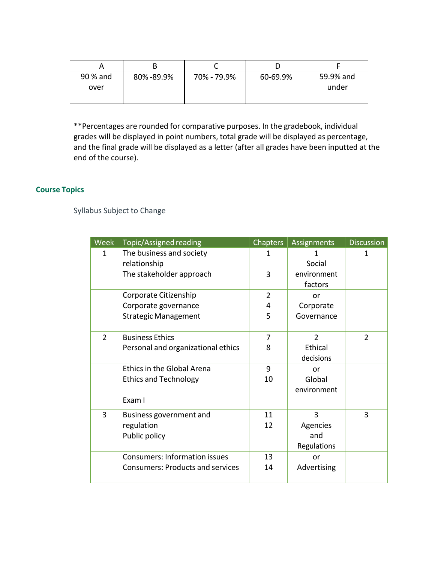| 90 % and | 80%-89.9% | 70% - 79.9% | 60-69.9% | 59.9% and |
|----------|-----------|-------------|----------|-----------|
| over     |           |             |          | under     |
|          |           |             |          |           |

\*\*Percentages are rounded for comparative purposes. In the gradebook, individual grades will be displayed in point numbers, total grade will be displayed as percentage, and the final grade will be displayed as a letter (after all grades have been inputted at the end of the course).

# **Course Topics**

Syllabus Subject to Change

| Week           | Topic/Assigned reading                  | <b>Chapters</b> | Assignments    | <b>Discussion</b> |
|----------------|-----------------------------------------|-----------------|----------------|-------------------|
| 1              | The business and society                | 1               |                | 1                 |
|                | relationship                            |                 | Social         |                   |
|                | The stakeholder approach                | 3               | environment    |                   |
|                |                                         |                 | factors        |                   |
|                | Corporate Citizenship                   | $\overline{2}$  | or             |                   |
|                | Corporate governance                    | 4               | Corporate      |                   |
|                | <b>Strategic Management</b>             | 5               | Governance     |                   |
|                |                                         |                 |                |                   |
| $\overline{2}$ | <b>Business Ethics</b>                  | 7               | $\overline{2}$ | $\overline{2}$    |
|                | Personal and organizational ethics      | 8               | Ethical        |                   |
|                |                                         |                 | decisions      |                   |
|                | <b>Ethics in the Global Arena</b>       | 9               | or             |                   |
|                | <b>Ethics and Technology</b>            | 10              | Global         |                   |
|                |                                         |                 | environment    |                   |
|                | Exam I                                  |                 |                |                   |
| 3              | Business government and                 | 11              | 3              | 3                 |
|                | regulation                              | 12              | Agencies       |                   |
|                | Public policy                           |                 | and            |                   |
|                |                                         |                 | Regulations    |                   |
|                | <b>Consumers: Information issues</b>    | 13              | or             |                   |
|                | <b>Consumers: Products and services</b> | 14              | Advertising    |                   |
|                |                                         |                 |                |                   |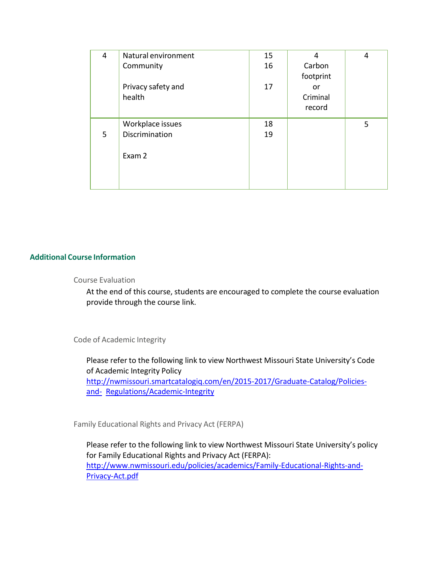| 4 | Natural environment<br>Community             | 15<br>16 | 4<br>Carbon<br>footprint | 4 |
|---|----------------------------------------------|----------|--------------------------|---|
|   | Privacy safety and<br>health                 | 17       | or<br>Criminal<br>record |   |
| 5 | Workplace issues<br>Discrimination<br>Exam 2 | 18<br>19 |                          | 5 |

# **Additional Course Information**

## Course Evaluation

At the end of this course, students are encouraged to complete the course evaluation provide through the course link.

# Code of Academic Integrity

Please refer to the following link to view Northwest Missouri State University's Code of Academic Integrity Policy [http://nwmissouri.smartcatalogiq.com/en/2015-2017/Graduate-Catalog/Policies](http://nwmissouri.smartcatalogiq.com/en/2015-2017/Graduate-Catalog/Policies-and-Regulations/Academic-Integrity)[and-](http://nwmissouri.smartcatalogiq.com/en/2015-2017/Graduate-Catalog/Policies-and-Regulations/Academic-Integrity) [Regulations/Academic-Integrity](http://nwmissouri.smartcatalogiq.com/en/2015-2017/Graduate-Catalog/Policies-and-Regulations/Academic-Integrity)

Family Educational Rights and Privacy Act (FERPA)

Please refer to the following link to view Northwest Missouri State University's policy for Family Educational Rights and Privacy Act (FERPA): [http://www.nwmissouri.edu/policies/academics/Family-Educational-Rights-and-](http://www.nwmissouri.edu/policies/academics/Family-Educational-Rights-and-Privacy-Act.pdf)[Privacy-Act.pdf](http://www.nwmissouri.edu/policies/academics/Family-Educational-Rights-and-Privacy-Act.pdf)